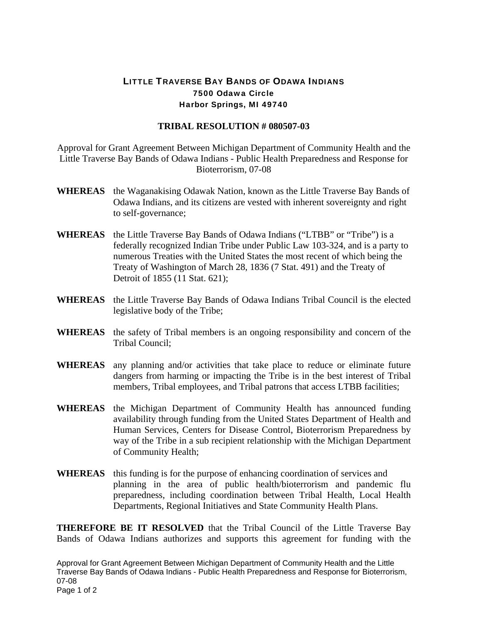## LITTLE TRAVERSE BAY BANDS OF ODAWA INDIANS 7500 Odawa Circle Harbor Springs, MI 49740

## **TRIBAL RESOLUTION # 080507-03**

Approval for Grant Agreement Between Michigan Department of Community Health and the Little Traverse Bay Bands of Odawa Indians - Public Health Preparedness and Response for Bioterrorism, 07-08

- **WHEREAS** the Waganakising Odawak Nation, known as the Little Traverse Bay Bands of Odawa Indians, and its citizens are vested with inherent sovereignty and right to self-governance;
- **WHEREAS** the Little Traverse Bay Bands of Odawa Indians ("LTBB" or "Tribe") is a federally recognized Indian Tribe under Public Law 103-324, and is a party to numerous Treaties with the United States the most recent of which being the Treaty of Washington of March 28, 1836 (7 Stat. 491) and the Treaty of Detroit of 1855 (11 Stat. 621);
- **WHEREAS** the Little Traverse Bay Bands of Odawa Indians Tribal Council is the elected legislative body of the Tribe;
- **WHEREAS** the safety of Tribal members is an ongoing responsibility and concern of the Tribal Council;
- **WHEREAS** any planning and/or activities that take place to reduce or eliminate future dangers from harming or impacting the Tribe is in the best interest of Tribal members, Tribal employees, and Tribal patrons that access LTBB facilities;
- **WHEREAS** the Michigan Department of Community Health has announced funding availability through funding from the United States Department of Health and Human Services, Centers for Disease Control, Bioterrorism Preparedness by way of the Tribe in a sub recipient relationship with the Michigan Department of Community Health;
- **WHEREAS** this funding is for the purpose of enhancing coordination of services and planning in the area of public health/bioterrorism and pandemic flu preparedness, including coordination between Tribal Health, Local Health Departments, Regional Initiatives and State Community Health Plans.

**THEREFORE BE IT RESOLVED** that the Tribal Council of the Little Traverse Bay Bands of Odawa Indians authorizes and supports this agreement for funding with the